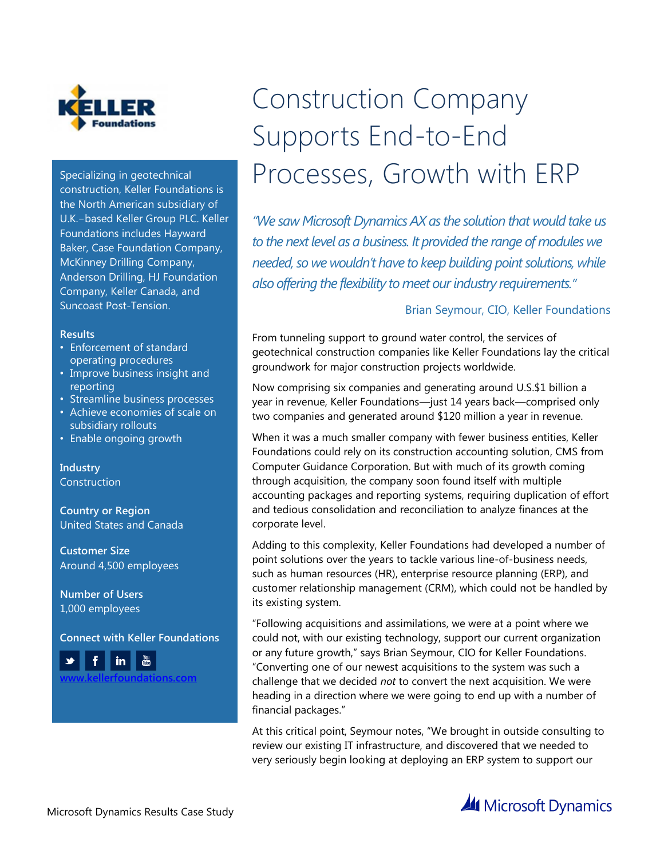

Specializing in geotechnical construction, Keller Foundations is the North American subsidiary of U.K.-based Keller Group PLC. Keller Foundations includes Hayward Baker, Case Foundation Company, McKinney Drilling Company, Anderson Drilling, HJ Foundation Company, Keller Canada, and Suncoast Post-Tension.

#### **Results**

- Enforcement of standard operating procedures
- Improve business insight and reporting
- Streamline business processes
- Achieve economies of scale on subsidiary rollouts
- Enable ongoing growth

**Industry Construction** 

**Country or Region** United States and Canada

**Customer Size** Around 4,500 employees

**Number of Users** 1,000 employees

**Connect with Keller Foundations**



# Construction Company Supports End-to-End Processes, Growth with ERP

*"We saw Microsoft Dynamics AX as the solution that would take us to the next level as a business. It provided the range of modules we needed, so we wouldn't have to keep building point solutions, while also offering the flexibility to meet our industry requirements."*

#### Brian Seymour, CIO, Keller Foundations

From tunneling support to ground water control, the services of geotechnical construction companies like Keller Foundations lay the critical groundwork for major construction projects worldwide.

Now comprising six companies and generating around U.S.\$1 billion a year in revenue, Keller Foundations—just 14 years back—comprised only two companies and generated around \$120 million a year in revenue.

When it was a much smaller company with fewer business entities, Keller Foundations could rely on its construction accounting solution, CMS from Computer Guidance Corporation. But with much of its growth coming through acquisition, the company soon found itself with multiple accounting packages and reporting systems, requiring duplication of effort and tedious consolidation and reconciliation to analyze finances at the corporate level.

Adding to this complexity, Keller Foundations had developed a number of point solutions over the years to tackle various line-of-business needs, such as human resources (HR), enterprise resource planning (ERP), and customer relationship management (CRM), which could not be handled by its existing system.

"Following acquisitions and assimilations, we were at a point where we could not, with our existing technology, support our current organization or any future growth," says Brian Seymour, CIO for Keller Foundations. "Converting one of our newest acquisitions to the system was such a challenge that we decided *not* to convert the next acquisition. We were heading in a direction where we were going to end up with a number of financial packages."

At this critical point, Seymour notes, "We brought in outside consulting to review our existing IT infrastructure, and discovered that we needed to very seriously begin looking at deploying an ERP system to support our

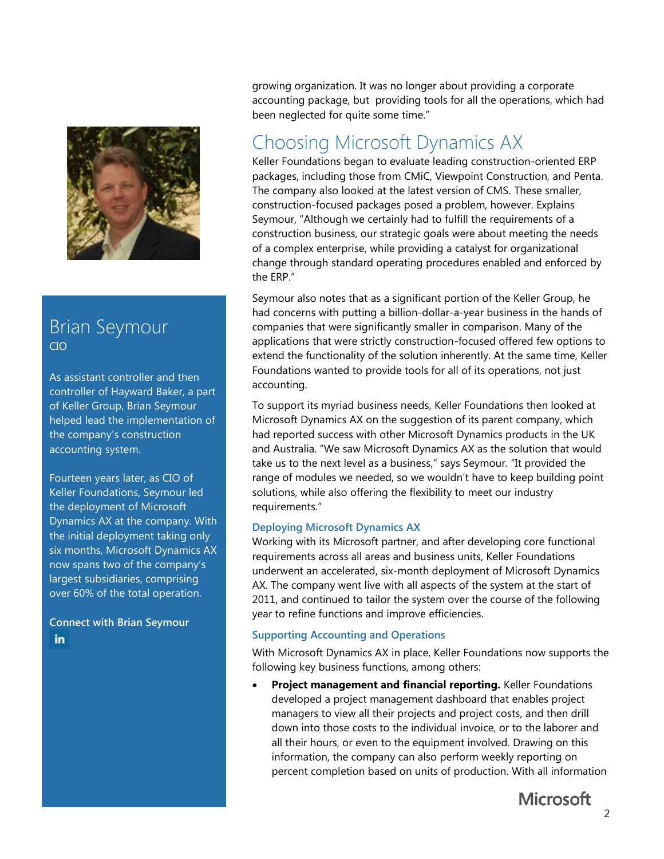

### Brian Seymour CIO

As assistant controller and then controller of Hayward Baker, a part of Keller Group, Brian Seymour helped lead the implementation of the company's construction accounting system.

Fourteen years later, as CIO of Keller Foundations, Seymour led the deployment of Microsoft Dynamics AX at the company. With the initial deployment taking only six months, Microsoft Dynamics AX now spans two of the company's largest subsidiaries, comprising over 60% of the total operation.

**Connect with Brian Seymour**in

growing organization. It was no longer about providing a corporate accounting package, but providing tools for all the operations, which had been neglected for quite some time."

## Choosing Microsoft Dynamics AX

Keller Foundations began to evaluate leading construction-oriented ERP packages, including those from CMiC, Viewpoint Construction, and Penta. The company also looked at the latest version of CMS. These smaller, construction-focused packages posed a problem, however. Explains Seymour, "Although we certainly had to fulfill the requirements of a construction business, our strategic goals were about meeting the needs of a complex enterprise, while providing a catalyst for organizational change through standard operating procedures enabled and enforced by the ERP."

Seymour also notes that as a significant portion of the Keller Group, he had concerns with putting a billion-dollar-a-year business in the hands of companies that were significantly smaller in comparison. Many of the applications that were strictly construction-focused offered few options to extend the functionality of the solution inherently. At the same time, Keller Foundations wanted to provide tools for all of its operations, not just accounting.

To support its myriad business needs, Keller Foundations then looked at Microsoft Dynamics AX on the suggestion of its parent company, which had reported success with other Microsoft Dynamics products in the UK and Australia. "We saw Microsoft Dynamics AX as the solution that would take us to the next level as a business," says Seymour. "It provided the range of modules we needed, so we wouldn't have to keep building point solutions, while also offering the flexibility to meet our industry requirements."

#### **Deploying Microsoft Dynamics AX**

Working with its Microsoft partner, and after developing core functional requirements across all areas and business units, Keller Foundations underwent an accelerated, six-month deployment of Microsoft Dynamics AX. The company went live with all aspects of the system at the start of 2011, and continued to tailor the system over the course of the following year to refine functions and improve efficiencies.

#### **Supporting Accounting and Operations**

With Microsoft Dynamics AX in place, Keller Foundations now supports the following key business functions, among others:

 **Project management and financial reporting.** Keller Foundations developed a project management dashboard that enables project managers to view all their projects and project costs, and then drill down into those costs to the individual invoice, or to the laborer and all their hours, or even to the equipment involved. Drawing on this information, the company can also perform weekly reporting on percent completion based on units of production. With all information

**Microsoft**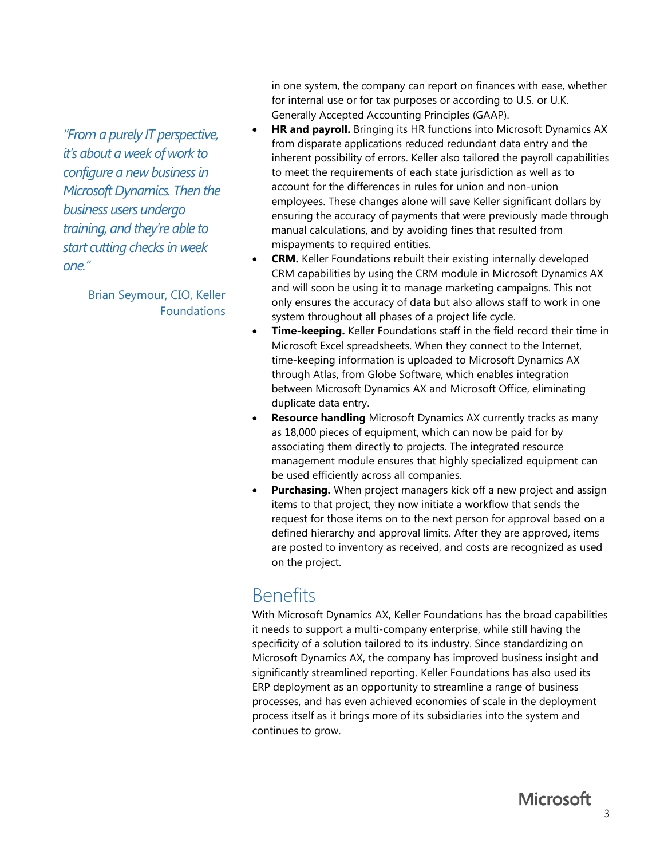*"From a purely IT perspective, it's about a week of work to configure a new business in Microsoft Dynamics. Then the business users undergo training, and they're able to start cutting checks in week one."*

> Brian Seymour, CIO, Keller Foundations

in one system, the company can report on finances with ease, whether for internal use or for tax purposes or according to U.S. or U.K. Generally Accepted Accounting Principles (GAAP).

- **HR and payroll.** Bringing its HR functions into Microsoft Dynamics AX from disparate applications reduced redundant data entry and the inherent possibility of errors. Keller also tailored the payroll capabilities to meet the requirements of each state jurisdiction as well as to account for the differences in rules for union and non-union employees. These changes alone will save Keller significant dollars by ensuring the accuracy of payments that were previously made through manual calculations, and by avoiding fines that resulted from mispayments to required entities.
- **CRM.** Keller Foundations rebuilt their existing internally developed CRM capabilities by using the CRM module in Microsoft Dynamics AX and will soon be using it to manage marketing campaigns. This not only ensures the accuracy of data but also allows staff to work in one system throughout all phases of a project life cycle.
- **Time-keeping.** Keller Foundations staff in the field record their time in Microsoft Excel spreadsheets. When they connect to the Internet, time-keeping information is uploaded to Microsoft Dynamics AX through Atlas, from Globe Software, which enables integration between Microsoft Dynamics AX and Microsoft Office, eliminating duplicate data entry.
- **Resource handling** Microsoft Dynamics AX currently tracks as many as 18,000 pieces of equipment, which can now be paid for by associating them directly to projects. The integrated resource management module ensures that highly specialized equipment can be used efficiently across all companies.
- **Purchasing.** When project managers kick off a new project and assign items to that project, they now initiate a workflow that sends the request for those items on to the next person for approval based on a defined hierarchy and approval limits. After they are approved, items are posted to inventory as received, and costs are recognized as used on the project.

# Benefits

With Microsoft Dynamics AX, Keller Foundations has the broad capabilities it needs to support a multi-company enterprise, while still having the specificity of a solution tailored to its industry. Since standardizing on Microsoft Dynamics AX, the company has improved business insight and significantly streamlined reporting. Keller Foundations has also used its ERP deployment as an opportunity to streamline a range of business processes, and has even achieved economies of scale in the deployment process itself as it brings more of its subsidiaries into the system and continues to grow.